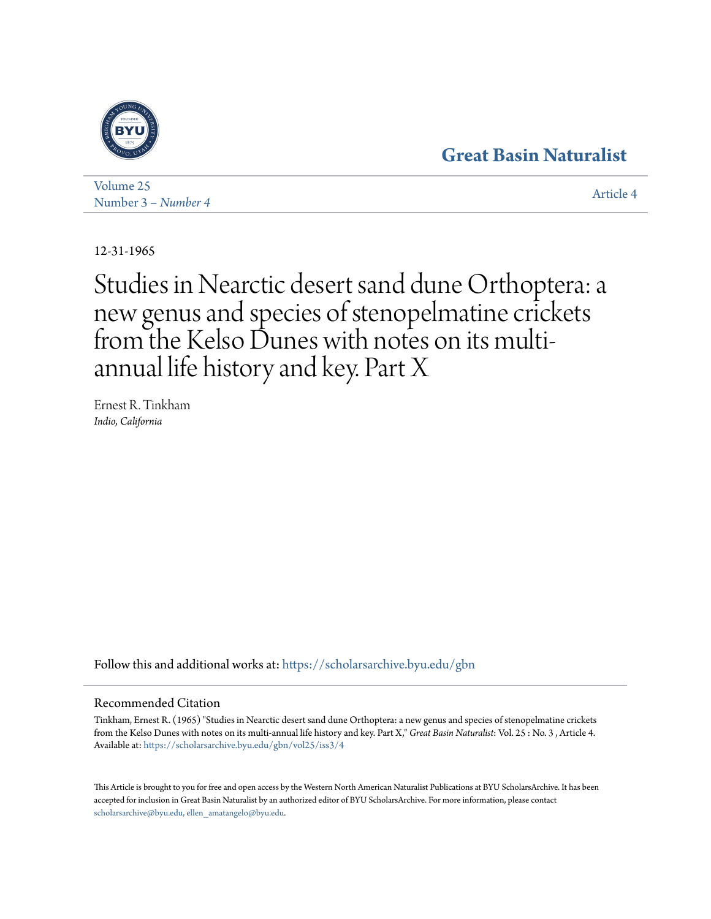# **[Great Basin Naturalist](https://scholarsarchive.byu.edu/gbn?utm_source=scholarsarchive.byu.edu%2Fgbn%2Fvol25%2Fiss3%2F4&utm_medium=PDF&utm_campaign=PDFCoverPages)**



[Volume 25](https://scholarsarchive.byu.edu/gbn/vol25?utm_source=scholarsarchive.byu.edu%2Fgbn%2Fvol25%2Fiss3%2F4&utm_medium=PDF&utm_campaign=PDFCoverPages) Number 3 *[– Number 4](https://scholarsarchive.byu.edu/gbn/vol25/iss3?utm_source=scholarsarchive.byu.edu%2Fgbn%2Fvol25%2Fiss3%2F4&utm_medium=PDF&utm_campaign=PDFCoverPages)* [Article 4](https://scholarsarchive.byu.edu/gbn/vol25/iss3/4?utm_source=scholarsarchive.byu.edu%2Fgbn%2Fvol25%2Fiss3%2F4&utm_medium=PDF&utm_campaign=PDFCoverPages)

12-31-1965

Studies in Nearctic desert sand dune Orthoptera: a new genus and species of stenopelmatine crickets from the Kelso Dunes with notes on its multiannual life history and key. Part X

Ernest R. Tinkham *Indio, California*

Follow this and additional works at: [https://scholarsarchive.byu.edu/gbn](https://scholarsarchive.byu.edu/gbn?utm_source=scholarsarchive.byu.edu%2Fgbn%2Fvol25%2Fiss3%2F4&utm_medium=PDF&utm_campaign=PDFCoverPages)

# Recommended Citation

Tinkham, Ernest R. (1965) "Studies in Nearctic desert sand dune Orthoptera: a new genus and species of stenopelmatine crickets from the Kelso Dunes with notes on its multi-annual life history and key. Part X," *Great Basin Naturalist*: Vol. 25 : No. 3 , Article 4. Available at: [https://scholarsarchive.byu.edu/gbn/vol25/iss3/4](https://scholarsarchive.byu.edu/gbn/vol25/iss3/4?utm_source=scholarsarchive.byu.edu%2Fgbn%2Fvol25%2Fiss3%2F4&utm_medium=PDF&utm_campaign=PDFCoverPages)

This Article is brought to you for free and open access by the Western North American Naturalist Publications at BYU ScholarsArchive. It has been accepted for inclusion in Great Basin Naturalist by an authorized editor of BYU ScholarsArchive. For more information, please contact [scholarsarchive@byu.edu, ellen\\_amatangelo@byu.edu.](mailto:scholarsarchive@byu.edu,%20ellen_amatangelo@byu.edu)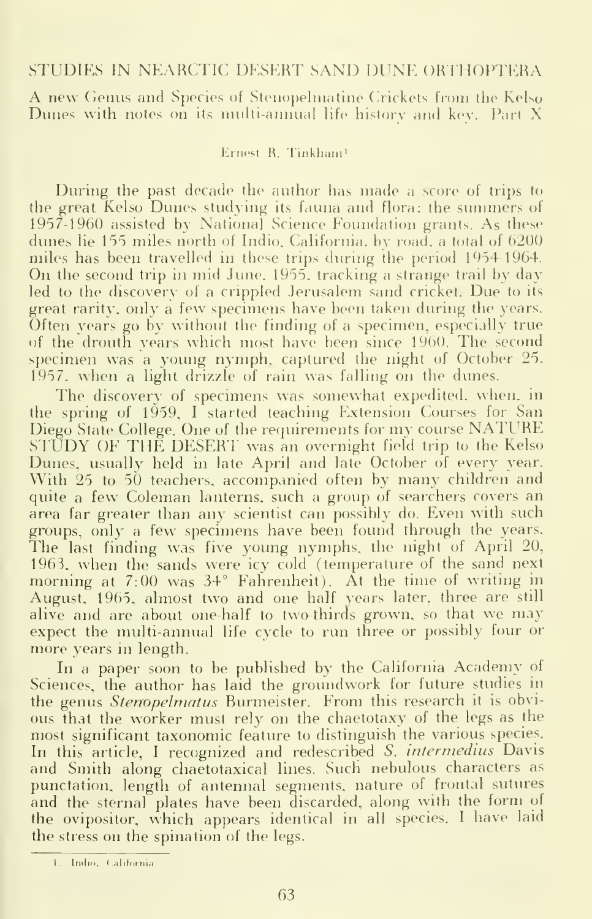# STUDIES IN NEARCTIC DESERT SAND DUNE OR'IHOPTERA

A new Genus and Species of Stenopelmatine Crickets from the Kelso Dunes with notes on its multi-annual life history and key. Part X

#### Ernest R. Tinkham<sup>1</sup>

During the past decade the author has made a score of trips to the great Kelso Dunes studying its fauna and flora; the summers of 1957-1960 assisted by National Science Foundation grants. As these dunes lie 155 miles north of Indio. California, by road, a total of 6200 miles has been travelled in these trips during the period 1954-1964. On the second trip in mid Jime. 1955. tracking <sup>a</sup> strange trail by day led to the discovery of a crippled Jerusalem sand cricket. Due to its great rarity, only a few specimens have been taken during the years. Often years go by without the finding of a specimen, especially true of the drouth years which most have been since 1960. The second specimen was <sup>a</sup> young nymph, captured the night of October 25. 1957. when <sup>a</sup> light drizzle of rain was falling on the dunes.

The discovery of specimens was somewhat expedited, when, in the spring of 1959, <sup>I</sup> started teaching Extension Courses for San Diego State College. One of the requirements for my course NATURE STUDY OF THE DESERT was an overnight field trip to the Kelso Dunes, usually held in late April and late October of every year. With 25 to 50 teachers, accompanied often by many children and quite a few Coleman lanterns, such <sup>a</sup> group of searchers covers an area far greater than any scientist can possibly do. Even with such groups, only a few specimens have been found through the years. The last finding was five young nymphs, the night of April 20, 1963. when the sands were icy cold (temperature of the sand next morning at 7:00 was 34° Fahrenheit). At the time of writing in August. 1965, almost two and one half years later, three are still alive and are about one-half to two-thirds grown, so that we may expect the multi-annual life cycle to run three or possibly four or more years in length.

In <sup>a</sup> paper soon to be published by the California Academy of Sciences, the author has laid the groundwork for future studies in the genus *Stenopelmatus* Burmeister. From this research it is obvious that the worker must rely on the chaetotaxy of the legs as the most significant taxonomic feature to distinguish the various species. In this article, I recognized and redescribed S. intermedius Davis and Smith along chaetotaxical lines. Such nebulous characters as punctation. length of antennal segments, nature of frontal sutures and the sternal plates have been discarded, along with the form of the ovipositor, which appears identical in all species. <sup>I</sup> have laid the stress on the spination of the legs.

<sup>1.</sup> Indio, California.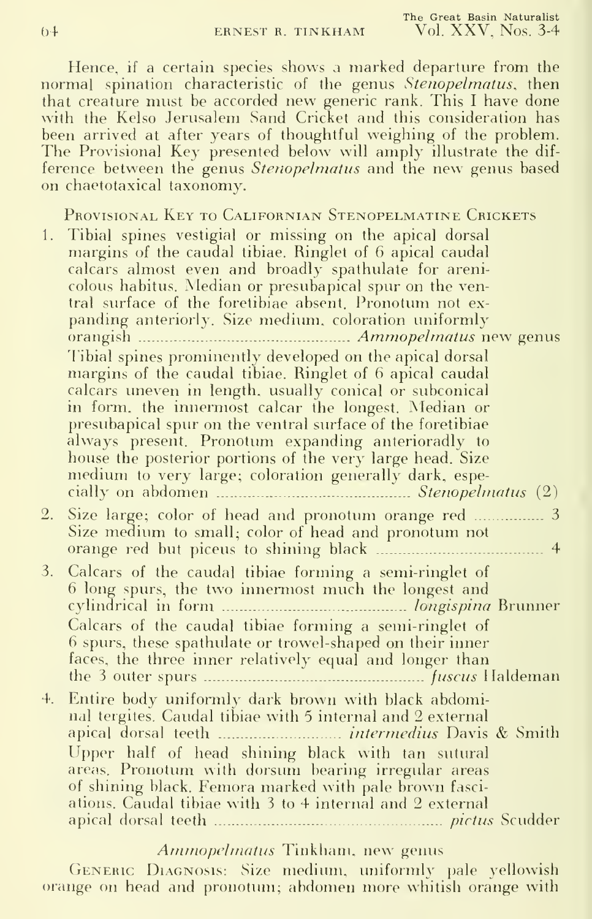Hence, if a certain species shows a marked departure from the normal spination characteristic of the genus Stenopelmatus, then that creature must be accorded new generic rank. This <sup>I</sup> have done with the Kelso Jerusalem Sand Cricket and this consideration has been arrived at after years of thoughtful weighing of the problem. The Provisional Key presented below will amply illustrate the dif ference between the genus Stenopelmatus and the new genus based on chaetotaxical taxonomy.

Provisional Key to Californian Stenopelmatine Crickets

1. Tibial spines vestigial or missing on the apical dorsal margins of the caudal tibiae. Ringlet of 6 apical caudal calcars almost even and broadly spathulate for arenicolous habitus. Median or presubapical spur on the ventral surface of the foretibiae absent. Pronotum not ex panding anteriorly. Size medium, coloration uniformly orangish Ammopelmatus new genus Tibial spines prominently developed on the apical dorsal margins of the caudal tibiae. Ringlet of 6 apical caudal calcars uneven in length, usually conical or subconical in form, the innermost calcar the longest. Median or presubapical spur on the ventral surface of the foretibiae always present. Pronotum expanding anterioradly to house the posterior portions of the very large head. Size medium to very large; coloration generally dark, especially on abdomen  $\ldots$   $\ldots$   $\ldots$   $\ldots$   $\ldots$   $\ldots$   $\ldots$   $\ldots$   $\ldots$   $\ldots$   $\ldots$   $\ldots$   $\ldots$   $\ldots$   $\ldots$   $\ldots$   $\ldots$   $\ldots$   $\ldots$   $\ldots$   $\ldots$   $\ldots$   $\ldots$   $\ldots$   $\ldots$   $\ldots$   $\ldots$   $\ldots$   $\ldots$   $\ldots$   $\ldots$   $\ldots$   $\ldots$   $\ldots$ 2. Size large; color of head and pronotum orange red ................. 3 Size medium to small; color of head and pronotum not orange red but piceus to shining black 4 3. Calcars of the caudal tibiae forming a semi-ringlet of <sup>6</sup> long spurs, the two innermost much the longest and cylindrical in form longispina Rrunner Calcars of the caudal tibiae forming a semi-ringlet of 6 spurs, these spathulate or trowel-shaped on their inner faces, the three inner relatively equal and longer than the 3 outer spurs *fuscus* Haldeman the 3 outer spurs Haldeman 4. Entire body uniformly dark brown with black abdominal tergites. Caudal tibiae with 5 internal and 2 external apical dorsal teeth intermedins Davis & Smith Upper half of head shining black with tan sutural areas. Pronotum with dorsum bearing irregular areas of shining black. Femora marked with pale brown fasci ations. Caudal tibiae with <sup>3</sup> to 4 internal and 2 external apical dorsal teeth pictus Scudder

Ammopelmatus Tinkham. new genus

Generic Diagnosis: Size medium, uniformly pale yellowish orange on head and pronotum; abdomen more whitish orange with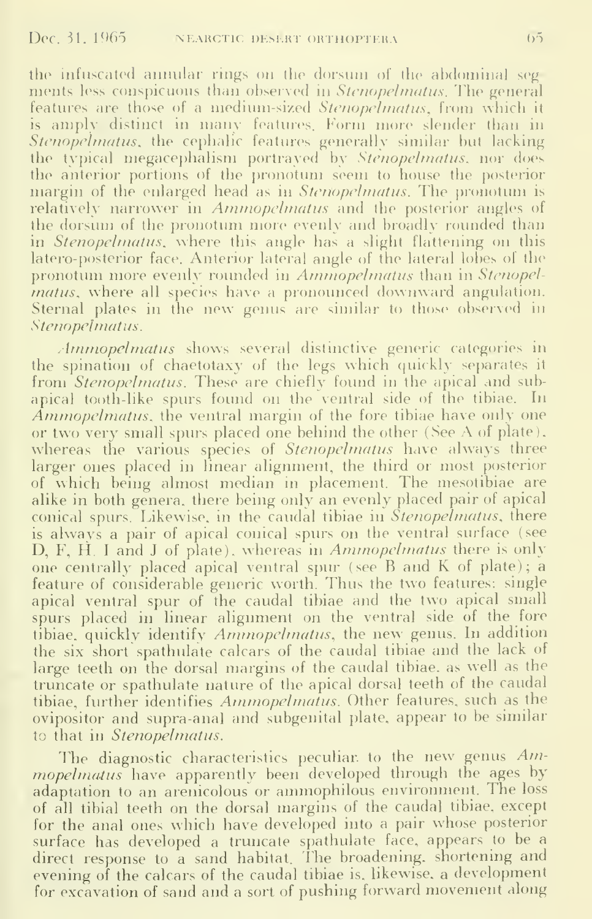the infuscated annular rings on the dorsum of the abdominal segments less conspicuous than observed in *Stenopelmatus*. The general features are those of a medium-sized Stenopelmatus, from which it is amply distinct in many features. Form more slender than in Stenopelmatus, the cephalic features generally similar but lacking the typical megacephalism portrayed by Stenopelmatus, nor does the anterior portions of the pronotum seem to house the posterior margin of the enlarged head as in *Stenopelmatus*. The pronotum is relatively narrower in Ammopelmatus and the posterior angles of the dorsum of the pronotum more evenly and broadly rounded than in *Stenopelmatus*, where this angle has a slight flattening on this latero-posterior face. Anterior lateral angle of the lateral lobes of the pronotum more evenly rounded in Ammopelmatus than in Stenopel*matus*, where all species have a pronounced downward angulation. Sternal plates in the new genus are similar to those observed in Stenopelmatus.

Ammopelmatus shows several distinctive generic categories in the spination of chaetotaxy of the legs which quickly separates it from *Stenopelmatus*. These are chiefly found in the apical and subapical tooth-like spurs found on the ventral side of the tibiae. In Ammopelmatus. the ventral margin of the fore tibiae have only one or two very small spurs placed one behind the other (See A of plate), whereas the various species of Stenopelmatus have always three larger ones placed in linear alignment, the third or most posterior of which being almost median in placement. The mesotibiae are alike in both genera, there being only an evenly placed pair of apical conical spurs. Likewise, in the caudal tibiae in Stenopelmatus, there is always a pair of apical conical spurs on the ventral surface (see D, F, H. I and J of plate), whereas in Ammopelmatus there is only one centrally placed apical ventral spur (see B and K of plate); <sup>a</sup> feature of considerable generic worth. Thus the two features: single apical ventral spur of the caudal tibiae and the two apical small spurs placed in linear alignment on the ventral side of the fore tibiae, quickly identify Ammopelmatus. the new genus. In addition the six short spathulate calcars of the caudal tibiae and the lack of large teeth on the dorsal margins of the caudal tibiae, as well as the truncate or spathulate nature of the apical dorsal teeth of the caudal tibiae, further identifies Ammopelmatus. Other features, such as the ovipositor and supra-anal and subgenital plate, appear to be similar to that in *Stenopelmatus*.

The diagnostic characteristics peculiar, to the new genus Ammopelmatus have apparently been developed through the ages by adaptation to an arenicolous or ammophilous environment. The loss of all tibial teeth on the dorsal margins of the caudal tibiae, except for the anal ones which have developed into <sup>a</sup> pair whose posterior surface has developed a truncate spathulate face, appears to be <sup>a</sup> direct response to a sand habitat. The broadening, shortening and evening of the calcars of the caudal tibiae is. likewise, <sup>a</sup> development for excavation of sand and <sup>a</sup> sort of pushing forward movement along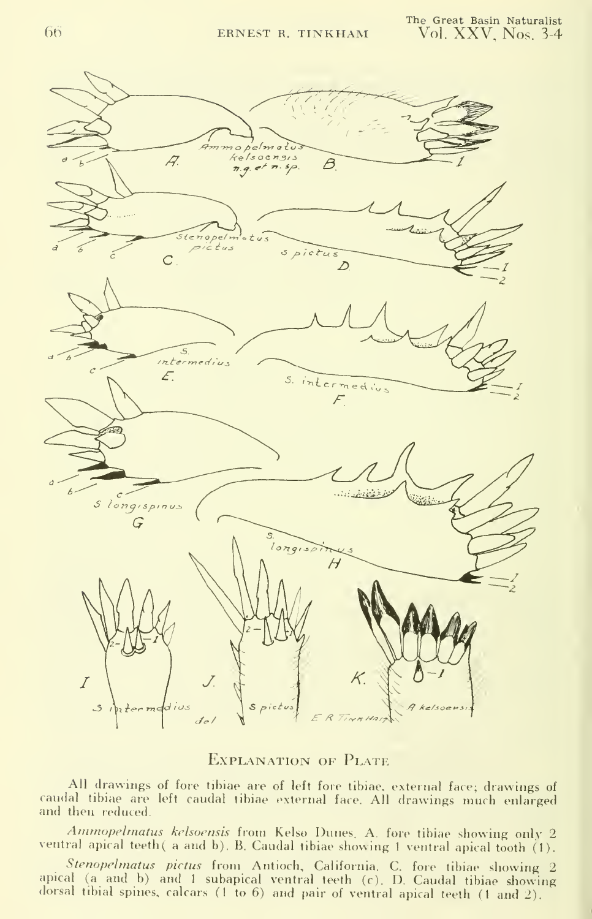

#### Explanation of Plate

All drawings of fore tibiae are of left fore tibiae, external face; drawings of caudal tibiae are left caudal tibiae external face. All drawings nnich enlarged and then reduced.

Ammopelmatus kelsoensis from Kelso Dunes. A. fore tibiae showing only 2 ventral apical teeth (a and b). B. Caudal tibiae showing 1 ventral apical tooth (1).

Stenopelmatus pictus from Antioch, California. C. fore tibiae showing <sup>2</sup> apical (a and b) and <sup>1</sup> subapical ventral teeth (c). D. Caudal tibiae showing dorsal tibial spines, calcars (1 to 6) and pair of ventral apical teeth (1 and 2).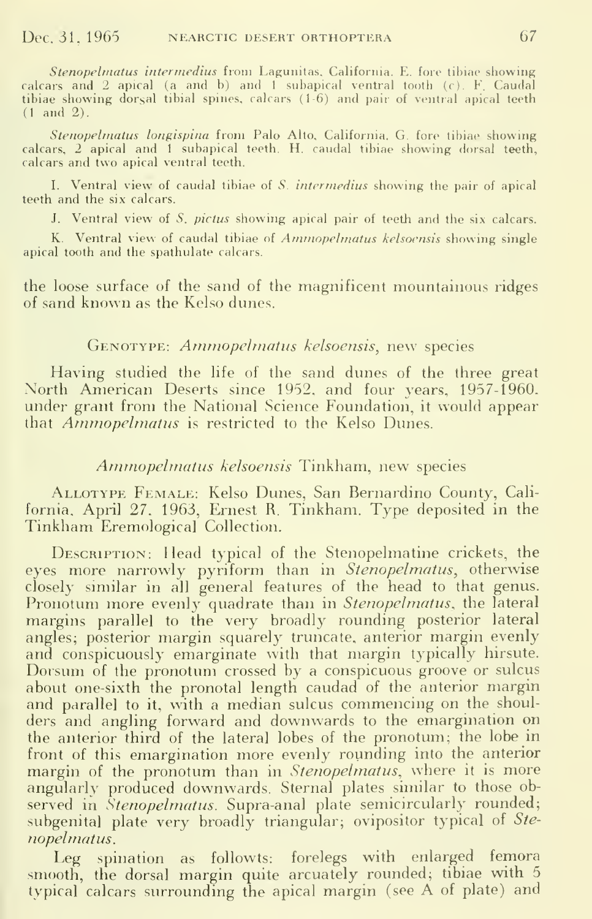Stenopelmatus intermedius from Lagunitas. California. E. fore tibiae showing calcars and 2 apical (a and b) and <sup>1</sup> subapical ventral tooth (c). F. Caudal tibiae showing dorsal tibial spines, calcars (1-6) and pair of ventral apical teeth (1 and 2).

Stenopelmatus longispina from Palo Alto, California. G. fore tibiae showing calcars, 2 apical and <sup>1</sup> subapical teeth. H. caudal tibiae showing dorsal teeth, calcars and two apical ventral teeth.

I. Ventral view of caudal tibiae of S. intermedius showing the pair of apical teeth and the six calcars.

J. Ventral view of S. *pictus* showing apical pair of teeth and the six calcars.

K. Ventral view of caudal tibiae of Ammopelmatus kelsoensis showing single apical tooth and the spathulate calcars.

the loose surface of the sand of the magnificent mountainous ridges of sand known as the Kelso dunes.

### GENOTYPE: Ammopelmatus kelsoensis, new species

Having studied the life of the sand dunes of the three great North American Deserts since 1952, and four years, 1957-1960. under grant from the National Science Foundation, it would appear that Ammopelmatus is restricted to the Kelso Dunes.

## Ammopelmatus kelsoensis Tinkham, new species

Allotype Female: Kelso Dunes, San Bernardino County, Cali fornia. April 27. 1963, Ernest R. Tinkham. Type deposited in the Tinkham Eremological Collection.

DESCRIPTION: Head typical of the Stenopelmatine crickets, the eyes more narrowly pyriform than in Stenopelmatus, otherwise closely similar in all general features of the head to that genus. Pronotum more evenly quadrate than in Stenopelmatus, the lateral margins parallel to the very broadly rounding posterior lateral angles; posterior margin squarely truncate, anterior margin evenly and conspicuously emarginate with that margin typically hirsute. Dorsum of the pronotum crossed by a conspicuous groove or sulcus about one-sixth the pronotal length caudad of the anterior margin and parallel to it, with a median sulcus commencing on the shoulders and angling forward and downwards to the emargination on the anterior third of the lateral lobes of the pronotum; the lobe in front of this emargination more evenly rounding into the anterior margin of the pronotum than in Stenopelmatus, where it is more angularly produced downwards. Sternal plates similar to those ob served in *Stenopelmatus*. Supra-anal plate semicircularly rounded; subgenital plate very broadly triangular; ovipositor typical of Stenopelmatus.

Leg spination as followts: forelegs with enlarged femora smooth, the dorsal margin quite arcuately rounded; tibiae with <sup>5</sup> typical calcars surrounding the apical margin (see A of plate) and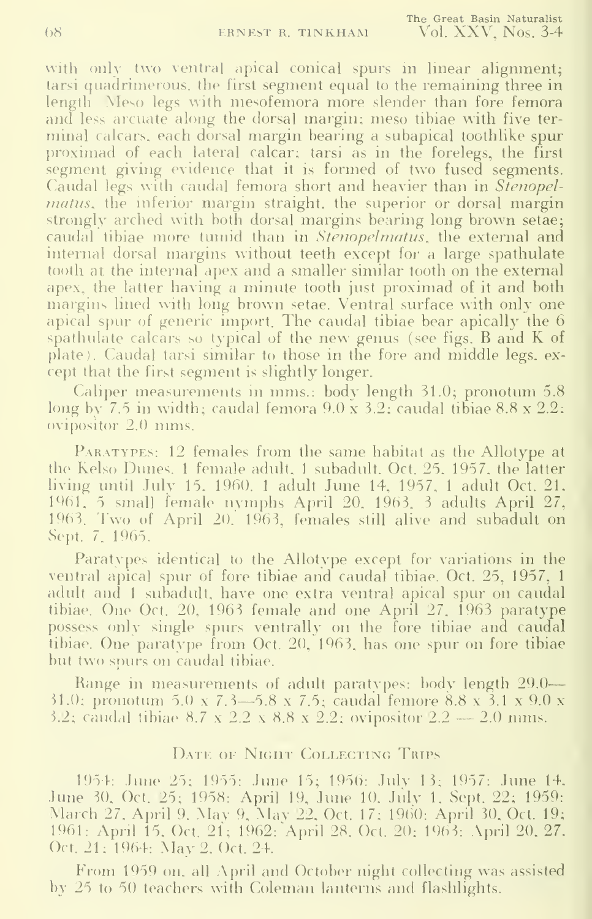with only two ventral apical conical spurs in linear alignment; tarsi quadrimerous, the first segment equal to the remaining three in length. Meso legs with mesofemora more slender than fore femora and less arcuate along the dorsal margin; meso tibiae with five ter minal calcars, each dorsal margin bearing a subapical toothlike spur proximad of each lateral calcar; tarsi as in the forelegs, the first segment giving evidence that it is formed of two fused segments. Caudal legs with caudal femora short and heavier than in Stenopel*matus*, the inferior margin straight, the superior or dorsal margin strongly arched with both dorsal margins bearing long brown setae; caudal tibiae more tumid than in *Stenopelmatus*, the external and internal dorsal margins without teeth except for a large spathulate tooth at the internal apex and a smaller similar tooth on the external apex, the latter having <sup>a</sup> minute tooth just proximad of it and both margins lined with long brown setae. Ventral surface with only one apical spur of generic import. The caudal tibiae bear apically the 6 spathulate calcars so typical of the new genus (see figs. B and K of plate). Caudal tarsi similar to those in the fore and middle legs, ex cept that the first segment is slightly longer.

Caliper measurements in mms.: body length 31.0; pronotum 5.8 long by 7.5 in width; caudal femora 9.0 x 3.2; caudal tibiae 8.8 x 2.2; ovipositor 2.0 mms.

PARATYPES: 12 females from the same habitat as the Allotype at the Kelso Dunes. <sup>1</sup> female adult, <sup>1</sup> subadult, Oct. 25, 1957, the latter living until July 15, 1960. 1 adult June 14, 1957, 1 adult Oct. 21, 1961, <sup>5</sup> small female nymphs April 20, 1963, 3 adults April 27, 1963. Two of April 20, 1963, females still alive and subadult on Sept. 7, 1965.

Paratypes identical to the Allotype except for variations in the ventral apical spur of fore tibiae and caudal tibiae. Oct. 25, 1957, <sup>1</sup> adult and <sup>1</sup> subadult, have one extra ventral apical spur on caudal tibiae. One Oct. 20, 1963 female and one April 27, 1963 paratype possess only single spurs ventrally on the fore tibiae and caudal tibiae. One paratype from Oct. 20, 1963, has one spur on fore tibiae but two spurs on caudal tibiae.

Range in measurements of adult paratypes: body length 29.0 31.0; pronotum 5.0 <sup>x</sup> 7.3—5.8 <sup>x</sup> 7.5; caudal femore 8.8 <sup>x</sup> 3.1 <sup>x</sup> 9.0 <sup>x</sup> 3.2; caudal tibiae  $8.7 \times 2.2 \times 8.8 \times 2.2$ ; ovipositor  $2.2 - 2.0$  mms.

#### DATE OF NIGHT COLLECTING TRIPS

1954: June 25; 1955: June 15; 1956: July 13; 1957: June 14, June 30, Oct. 25; 1958: April 19, June 10. July 1. Sept. 22; 1959: March 27, April 9. May 9, May 22, Oct. 17; I960: April 30, Oct. 19; 1961: April 15, Oct. 21; 1962: April 28. Oct. 20; 196S: April 20, 27. Oct. <sup>21</sup> ; 1964: May 2. Oct. 24.

From 1959 on, all April and October night collecting was assisted by 25 to 50 teachers with Coleman lanterns and flashlights.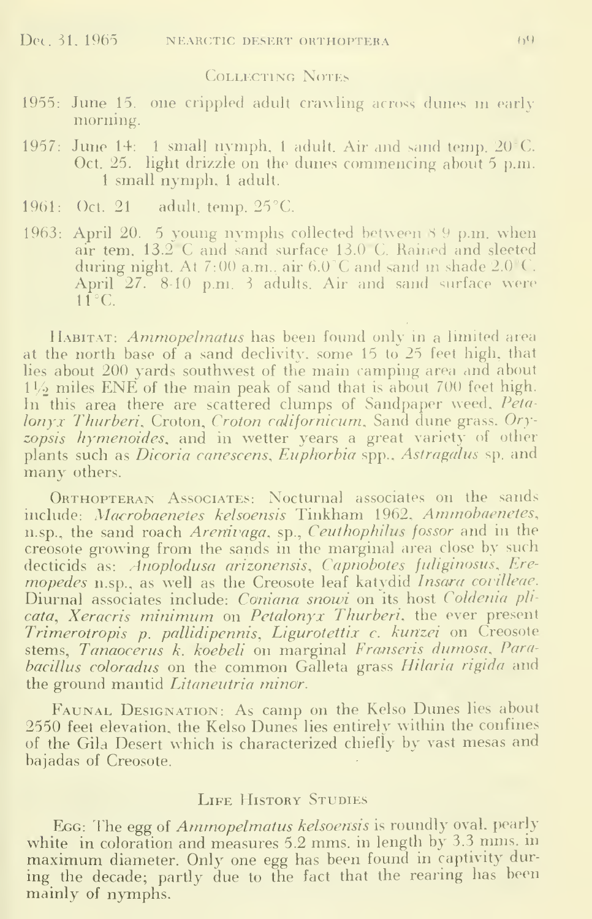#### Collecting Notes

- 1955: June 15. one crippled adult crawling across dunes in early morning.
- 1957: June 14: <sup>1</sup> small nymph, <sup>1</sup> adult. Air and sand temp. 20°C. Oct. 25. light drizzle on the dunes commencing about 5 p.m. <sup>1</sup> small nymph, <sup>1</sup> adult.
- 1961: Oct. 21 adult, temp. 25°C.
- 1963: April 20. <sup>5</sup> young nymphs collected between 8-9 p.m. when air tem. 13.2<sup>°</sup>C and sand surface 13.0<sup>°</sup>C. Rained and sleeted during night. At 7:00 a.m., air 6.0°C and sand in shade 2.0°C. April 27. 8-10 p.m. 3 adults. Air and sand surface were  $11^{\circ}C$ .

HABITAT: Ammopelmatus has been found only in a limited area at the north base of a sand declivity, some 15 to 25 feet high, that lies about 200 yards southwest of the main camping area and about  $1\frac{1}{2}$  miles ENE of the main peak of sand that is about 700 feet high. In this area there are scattered clumps of Sandpaper weed. Petalonyx Thurberi, Croton, Croton californicum, Sand dune grass. Oryzopsis hymenoides, and in wetter years a great variety of other plants such as Dicoria canescens. Euphorbia spp., Astragalus sp. and many others.

ORTHOPTERAN ASSOCIATES: Nocturnal associates on the sands include: Macrobaenetes kelsoensis Tinkham 1962, Ammobaenetes, n.sp., the sand roach Arenivaga, sp., Ceuthophilus fossor and in the creosote growing from the sands in the marginal area close by such decticids as: Anoplodusa arizonensis, Capnobotes fuliginosus, Ere mopedes n.sp., as well as the Creosote leaf katydid Insara covilleae. Diurnal associates include: Coniana snowi on its host Coldenia plicata, Xeracris minimum on Petalonyx Thurberi, the ever present  $Trimerotropis$  p. pallidipennis, Ligurotettix  $c$ . kunzei on  $C$ reosote stems, Tanaocerus k. koebeli on marginal Franseris dumosa. Parabacillus coloradus on the common Galleta grass Hilaria rigida and the ground mantid Litaneutria minor.

FAUNAL DESIGNATION: As camp on the Kelso Dunes lies about 2550 feet elevation, the Kelso Dunes lies entirely within the confines of the Gila Desert which is characterized chiefly by vast mesas and bajadas of Creosote.

#### LIFE HISTORY STUDIES

Egg: The egg of Ammopelmatus kelsoensis is roundly oval. pearly white in coloration and measures 5.2 mms. in length by 3.3 mms. in maximum diameter. Only one egg has been found in captivity during the decade; partly due to the fact that the rearing has been mainly of nymphs.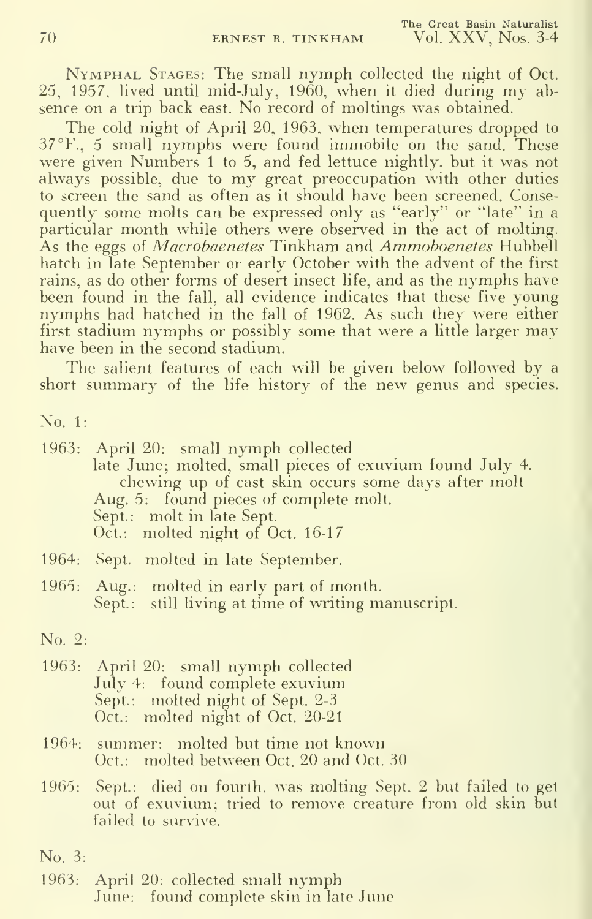NYMPHAL STAGES: The small nymph collected the night of Oct. 25, 1957, lived until mid-July, 1960, when it died during my ab sence on <sup>a</sup> trip back east. No record of moltings was obtained.

The cold night of April 20, 1963, when temperatures dropped to 37°F., <sup>5</sup> small nymphs were found immobile on the sand. These were given Numbers <sup>1</sup> to 5, and fed lettuce nightly, but it was not always possible, due to my great preoccupation with other duties to screen the sand as often as it should have been screened. Consequently some molts can be expressed only as "early" or "late" in a particular month while others were observed in the act of molting. As the eggs of *Macrobaenetes* Tinkham and *Ammoboenetes* Hubbell hatch in late September or early October with the advent of the first rains, as do other forms of desert insect life, and as the nymphs have been found in the fall, all evidence indicates that these five young nymphs had hatched in the fall of 1962. As such they were either first stadium nymphs or possibly some that were <sup>a</sup> little larger may have been in the second stadium.

The salient features of each will be given below followed by a short summary of the life history of the new genus and species.

No. 1:

- 1963: April 20: small nymph collected late June; molted, small pieces of exuvium found July 4. chewing up of cast skin occurs some days after molt Aug. 5: found pieces of complete molt. Sept.: molt in late Sept. Oct.: molted night of Oct. 16-17
- 1964: Sept. molted in late September.
- 1965: Aug.: molted in early part of month. Sept.: still living at time of writing manuscript.

No. 2:

- 1963: April 20: small nymph collected July 4: found complete exuvium Sept.: molted night of Sept. 2-3 Oct.: molted night of Oct. 20-21
- 1964: summer: molted but time not known Oct.: molted between Oct. 20 and Oct. 30
- 1965: Sept.: died on fourth, was molting Sept. 2 but failed to get out of exuvium; tried to remove creature from old skin but failed to survive.

No. 3:

1963: April 20: collected small nymph June: found complete skin in late June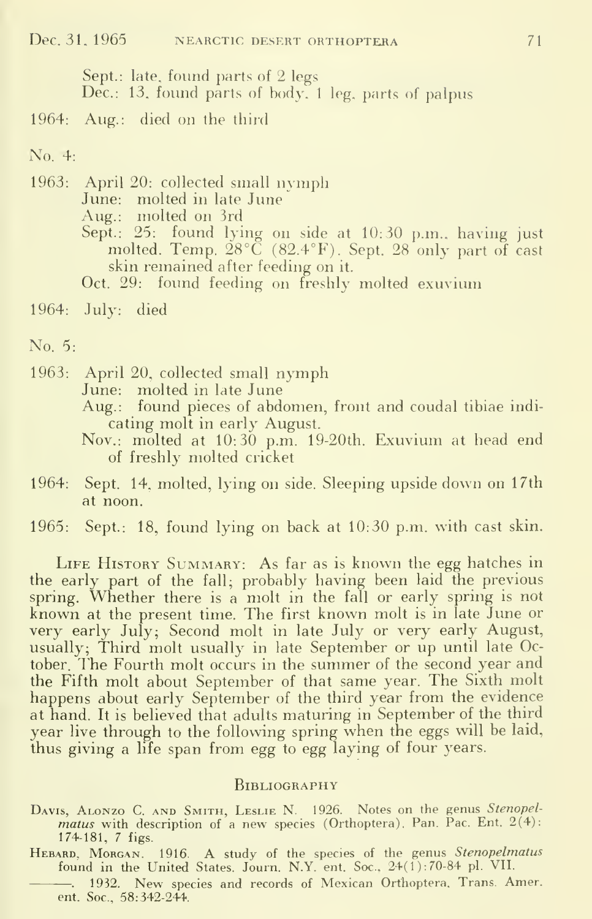Sept.: late, found parts of 2 legs Dec.: 13, found parts of body, 1 leg, parts of palpus

1964: Aug.: died on the third

No. 4:

1963: April 20: collected small nvmph June: molted in late June Aug.: molted on 3rd Sept.: 25: found lying on side at 10:30 p.m., having just molted. Temp.  $28^{\circ}$ C (82.4°F). Sept.  $28^{\circ}$ only part of cast skin remained after feeding on it.Oct. 29: found feeding on freshly molted exuvium

1964: July: died

No. 5:

1963: April 20, collected small nymph June: molted in late June Aug.: found pieces of abdomen, front and coudal tibiae indi cating molt in early August. Nov.: molted at 10:30 p.m. 19-20th. Exuvium at head end

of freshly molted cricket

- 1964: Sept. 14. molted, lying on side. Sleeping upside down on 17th at noon.
- 1965: Sept.: 18, found lying on back at 10:30 p.m. with cast skin.

LIFE HISTORY SUMMARY: As far as is known the egg hatches in the early part of the fall; probably having been laid the previous spring. Whether there is a molt in the fall or early spring is not known at the present time. The first known molt is in late June or very early July; Second molt in late July or very early August, usually; Third molt usually in late September or up until late October. The Fourth molt occurs in the summer of the second year and the Fifth molt about September of that same year. The Sixth molt happens about early September of the third year from the evidence at hand. It is believed that adults maturing in September of the third year live through to the following spring when the eggs will be laid, thus giving a life span from egg to egg laying of four years.

#### **BIBLIOGRAPHY**

DAVIS, ALONZO C. AND SMITH, LESLIE N. 1926. Notes on the genus Stenopel $matus$  with description of a new species (Orthoptera). Pan. Pac. Ent.  $2(4)$ : 174-181, 7 figs.

HEBARD, MORGAN. 1916. A study of the species of the genus Stenopelmatus found in the United States. Journ. N.Y. ent. Soc., 24(1):70-84 pl. VII.

<sup>.</sup> 1932. New species and records of Mexican Orthoptera, Trans. Amer. ent. Soc, 58:342-244.